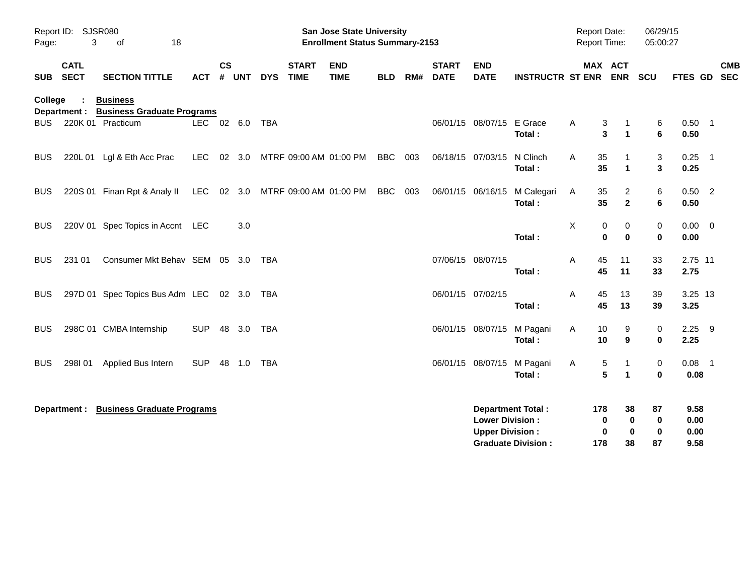| Page:      | Report ID: SJSR080<br>3    | 18<br>οf                                             |                |               |            |            |                             | <b>San Jose State University</b><br><b>Enrollment Status Summary-2153</b> |            |     |                             |                                                  |                                                       | Report Date:<br>Report Time: |                      |                                     | 06/29/15<br>05:00:27 |                              |            |
|------------|----------------------------|------------------------------------------------------|----------------|---------------|------------|------------|-----------------------------|---------------------------------------------------------------------------|------------|-----|-----------------------------|--------------------------------------------------|-------------------------------------------------------|------------------------------|----------------------|-------------------------------------|----------------------|------------------------------|------------|
| SUB        | <b>CATL</b><br><b>SECT</b> | <b>SECTION TITTLE</b>                                | <b>ACT</b>     | $\mathsf{cs}$ | # UNT      | <b>DYS</b> | <b>START</b><br><b>TIME</b> | <b>END</b><br><b>TIME</b>                                                 | <b>BLD</b> | RM# | <b>START</b><br><b>DATE</b> | <b>END</b><br><b>DATE</b>                        | <b>INSTRUCTR ST ENR ENR</b>                           |                              |                      | <b>MAX ACT</b>                      | SCU                  | FTES GD SEC                  | <b>CMB</b> |
| College    | Department :               | <b>Business</b><br><b>Business Graduate Programs</b> |                |               |            |            |                             |                                                                           |            |     |                             |                                                  |                                                       |                              |                      |                                     |                      |                              |            |
| BUS        |                            | 220K 01 Practicum                                    | LEC 02 6.0 TBA |               |            |            |                             |                                                                           |            |     |                             | 06/01/15 08/07/15                                | E Grace<br>Total:                                     | Α                            | 3<br>3               | $\mathbf 1$<br>$\blacktriangleleft$ | 6<br>6               | $0.50$ 1<br>0.50             |            |
| <b>BUS</b> |                            | 220L 01 Lgl & Eth Acc Prac                           | LEC            |               | 02 3.0     |            |                             | MTRF 09:00 AM 01:00 PM                                                    | BBC        | 003 |                             | 06/18/15 07/03/15                                | N Clinch<br>Total:                                    | A                            | 35<br>35             | $\mathbf{1}$                        | 3<br>$\mathbf{3}$    | $0.25$ 1<br>0.25             |            |
| <b>BUS</b> |                            | 220S 01 Finan Rpt & Analy II LEC 02 3.0              |                |               |            |            |                             | MTRF 09:00 AM 01:00 PM                                                    | BBC        | 003 |                             | 06/01/15 06/16/15                                | M Calegari<br>Total:                                  | A                            | 35<br>35             | 2<br>$\mathbf{2}$                   | 6<br>6               | $0.50$ 2<br>0.50             |            |
| <b>BUS</b> |                            | 220V 01 Spec Topics in Accnt LEC                     |                |               | 3.0        |            |                             |                                                                           |            |     |                             |                                                  | Total:                                                | Χ                            | 0<br>0               | 0<br>$\bf{0}$                       | 0<br>$\bf{0}$        | $0.00 \t 0$<br>0.00          |            |
| BUS        | 231 01                     | Consumer Mkt Behav SEM 05 3.0 TBA                    |                |               |            |            |                             |                                                                           |            |     | 07/06/15 08/07/15           |                                                  | Total:                                                | A                            | 45<br>45             | 11<br>11                            | 33<br>33             | 2.75 11<br>2.75              |            |
| <b>BUS</b> |                            | 297D 01 Spec Topics Bus Adm LEC 02 3.0 TBA           |                |               |            |            |                             |                                                                           |            |     | 06/01/15 07/02/15           |                                                  | Total:                                                | A                            | 45<br>45             | 13<br>13                            | 39<br>39             | 3.25 13<br>3.25              |            |
| <b>BUS</b> |                            | 298C 01 CMBA Internship                              | <b>SUP</b>     |               | 48 3.0 TBA |            |                             |                                                                           |            |     |                             |                                                  | 06/01/15 08/07/15 M Pagani<br>Total:                  | A                            | 10<br>10             | 9<br>9                              | 0<br>0               | $2.25$ 9<br>2.25             |            |
| BUS        | 298101                     | Applied Bus Intern                                   | <b>SUP</b>     |               | 48 1.0 TBA |            |                             |                                                                           |            |     |                             |                                                  | 06/01/15 08/07/15 M Pagani<br>Total:                  | A                            | 5<br>5               | $\mathbf 1$<br>$\blacktriangleleft$ | 0<br>$\mathbf 0$     | $0.08$ 1<br>0.08             |            |
|            | Department :               | <b>Business Graduate Programs</b>                    |                |               |            |            |                             |                                                                           |            |     |                             | <b>Lower Division:</b><br><b>Upper Division:</b> | <b>Department Total:</b><br><b>Graduate Division:</b> |                              | 178<br>0<br>0<br>178 | 38<br>0<br>$\bf{0}$<br>38           | 87<br>0<br>0<br>87   | 9.58<br>0.00<br>0.00<br>9.58 |            |